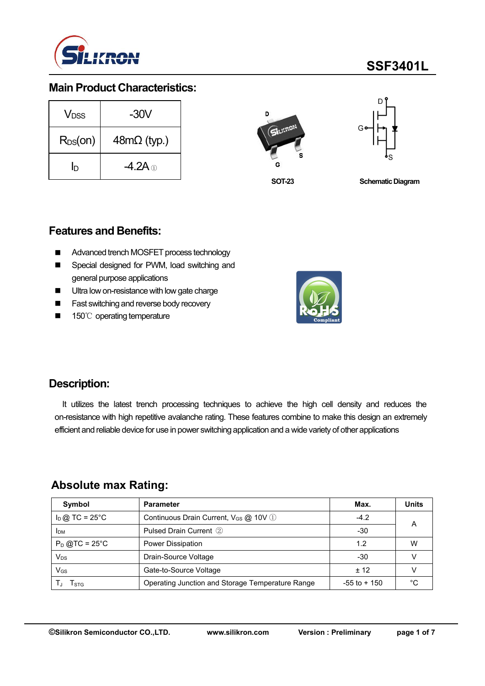

#### **Main Product Characteristics:**

| V <sub>DSS</sub> | $-30V$             | D        |
|------------------|--------------------|----------|
| $R_{DS}(on)$     | $48m\Omega$ (typ.) | SILICRON |
| ID               | -4.2A $_{\odot}$   | s<br>G   |



**SOT-23**

**Schematic Diagram** 

#### **Features and Benefits:**

- Advanced trench MOSFET process technology
- Special designed for PWM, load switching and general purpose applications
- **Ultra low on-resistance with low gate charge**
- **Fast switching and reverse body recovery**
- 150℃ operating temperature



### **Description:**

It utilizes the latest trench processing techniques to achieve the high cell density and reduces the on-resistance with high repetitive avalanche rating. These features combine to make this design an extremely efficient and reliable device for use in power switching application and a wide variety of other applications

### **Absolute max Rating:**

| Symbol                 | <b>Parameter</b>                                  | Max.            | <b>Units</b> |
|------------------------|---------------------------------------------------|-----------------|--------------|
| $I_D$ @ TC = 25°C      | Continuous Drain Current, V <sub>GS</sub> @ 10V 1 | $-4.2$          |              |
| <b>I</b> <sub>DM</sub> | Pulsed Drain Current 2                            | $-30$           | A            |
| $P_D$ @TC = 25°C       | Power Dissipation                                 | 1.2             | W            |
| $V_{DS}$               | Drain-Source Voltage                              | -30             |              |
| $V_{GS}$               | Gate-to-Source Voltage                            | ± 12            |              |
| T <sub>STG</sub>       | Operating Junction and Storage Temperature Range  | $-55$ to $+150$ | °C           |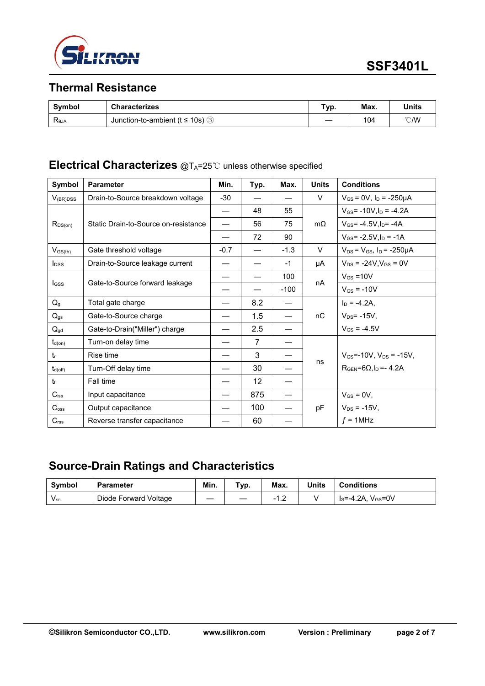

## **Thermal Resistance**

| Symbol                           | <b>Characterizes</b>                            | Typ. | Max. | <b>Units</b> |
|----------------------------------|-------------------------------------------------|------|------|--------------|
| $\mathsf{R}_{\theta\mathsf{JA}}$ | Junction-to-ambient ( $t \le 10s$ )<br>ົຕ່<br>ঔ |      | 104  | °C/W         |

### **Electrical Characterizes** @TA=25℃ unless otherwise specified

| Symbol                  | <b>Parameter</b>                     | Min.   | Typ.            | Max.   | <b>Units</b> | <b>Conditions</b>                      |  |
|-------------------------|--------------------------------------|--------|-----------------|--------|--------------|----------------------------------------|--|
| $V_{(BR)DSS}$           | Drain-to-Source breakdown voltage    |        |                 |        | V            | $V_{GS}$ = 0V, $I_D$ = -250µA          |  |
|                         |                                      |        | 48              | 55     |              | $V_{GS}$ = -10V, $I_D$ = -4.2A         |  |
| $R_{DS(on)}$            | Static Drain-to-Source on-resistance |        | 56              | 75     | $m\Omega$    | $V_{GS} = -4.5V \cdot ln = -4A$        |  |
|                         |                                      |        | 72              | 90     |              | $V_{GS}$ = -2.5V, $I_D$ = -1A          |  |
| $V_{GS(th)}$            | Gate threshold voltage               | $-0.7$ | —               | $-1.3$ | V            | $V_{DS} = V_{GS}$ , $I_D = -250 \mu A$ |  |
| <b>l</b> <sub>pss</sub> | Drain-to-Source leakage current      |        |                 | $-1$   | μA           | $V_{DS}$ = -24V, $V_{GS}$ = 0V         |  |
|                         |                                      |        | —               | 100    | nA           | $V_{GS} = 10V$                         |  |
| <b>I</b> GSS            | Gate-to-Source forward leakage       |        |                 | $-100$ |              | $V_{GS}$ = -10V                        |  |
| $Q_{g}$                 | Total gate charge                    |        | 8.2             |        |              | $I_D = -4.2A$ ,                        |  |
| $Q_{gs}$                | Gate-to-Source charge                |        | 1.5             |        | nC           | $V_{DS}$ = -15V,                       |  |
| $Q_{\text{gd}}$         | Gate-to-Drain("Miller") charge       |        | 2.5             |        |              | $V_{GS} = -4.5V$                       |  |
| $t_{d(on)}$             | Turn-on delay time                   |        | 7               |        |              |                                        |  |
| $t_{r}$                 | Rise time                            |        | 3               |        |              | $V_{GS}$ =-10V, $V_{DS}$ = -15V,       |  |
| $t_{d(\text{off})}$     | Turn-Off delay time                  |        | 30              |        | ns           | $RGEN=6\Omega, ID=-4.2A$               |  |
| $t_{\rm f}$             | Fall time                            |        | 12 <sup>°</sup> |        |              |                                        |  |
| $C$ iss                 | Input capacitance                    |        | 875             |        |              | $V_{GS} = 0V$ ,                        |  |
| $C_{\text{oss}}$        | Output capacitance                   |        | 100             |        | pF           | $V_{DS} = -15V,$                       |  |
| C <sub>rss</sub>        | Reverse transfer capacitance         |        | 60              |        |              | $f = 1$ MHz                            |  |

## **Source-Drain Ratings and Characteristics**

| <b>Symbol</b> | <b>Parameter</b>      | Min. | Typ. | Max. | <b>Units</b> | <b>Conditions</b>          |
|---------------|-----------------------|------|------|------|--------------|----------------------------|
| $V_{SD}$      | Diode Forward Voltage | __   |      | ے ،  |              | $V_{GS} = 0V$<br>ls=-4.2A, |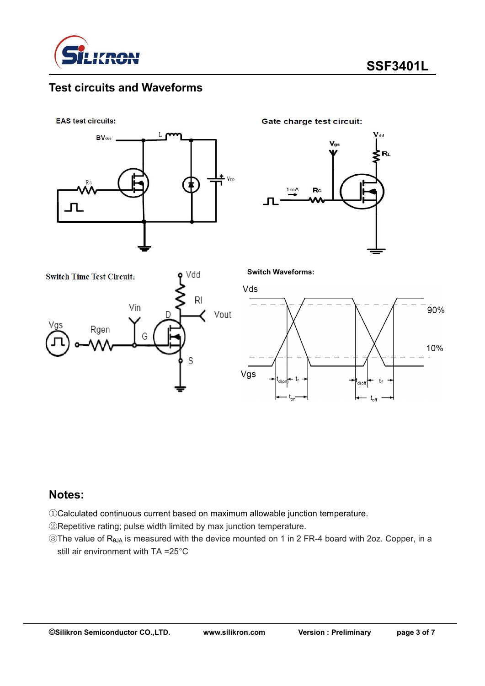

### **Test circuits and Waveforms**

**EAS test circuits:** 



Gate charge test circuit:

**Switch Waveforms:**







#### **Notes:**

①Calculated continuous current based on maximum allowable junction temperature.

②Repetitive rating; pulse width limited by max junction temperature.

③The value of RθJA is measured with the device mounted on 1 in 2 FR-4 board with 2oz. Copper, in a still air environment with TA =25°C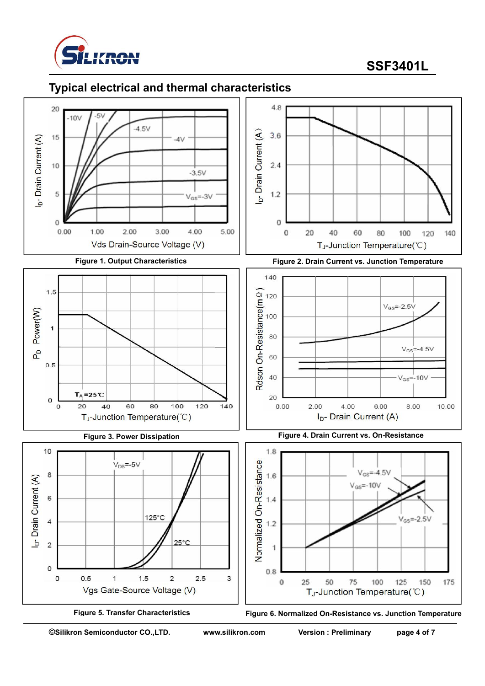

## **Typical electrical and thermal characteristics**





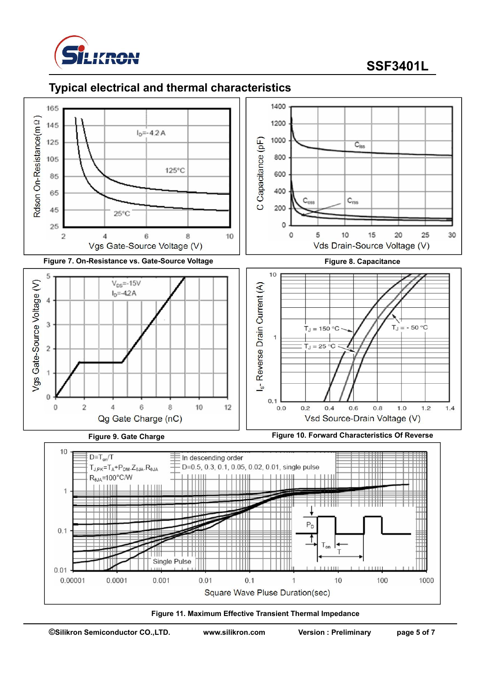

### **Typical electrical and thermal characteristics**





**©Silikron Semiconductor CO.,LTD. www.silikron.com Version : Preliminary page 5 of 7**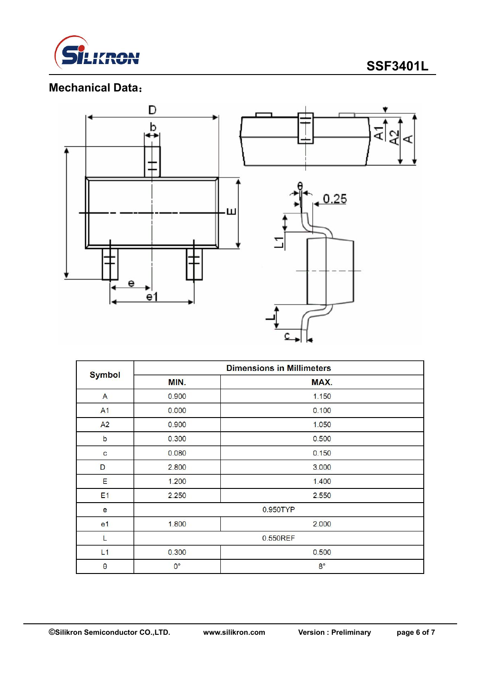

# **Mechanical Data**:



|                | <b>Dimensions in Millimeters</b> |             |  |  |  |  |
|----------------|----------------------------------|-------------|--|--|--|--|
| <b>Symbol</b>  | MIN.                             | MAX.        |  |  |  |  |
| $\mathsf{A}$   | 0.900                            | 1.150       |  |  |  |  |
| A <sub>1</sub> | 0.000                            | 0.100       |  |  |  |  |
| A <sub>2</sub> | 0.900                            | 1.050       |  |  |  |  |
| $\mathbf b$    | 0.300                            | 0.500       |  |  |  |  |
| C              | 0.080                            | 0.150       |  |  |  |  |
| D              | 2.800                            | 3.000       |  |  |  |  |
| Ε              | 1.200                            | 1.400       |  |  |  |  |
| E <sub>1</sub> | 2.250                            | 2.550       |  |  |  |  |
| e              | 0.950TYP                         |             |  |  |  |  |
| e <sub>1</sub> | 1.800                            | 2.000       |  |  |  |  |
| L              | 0.550REF                         |             |  |  |  |  |
| L1             | 0.300                            | 0.500       |  |  |  |  |
| $\theta$       | $0^{\circ}$                      | $8^{\circ}$ |  |  |  |  |